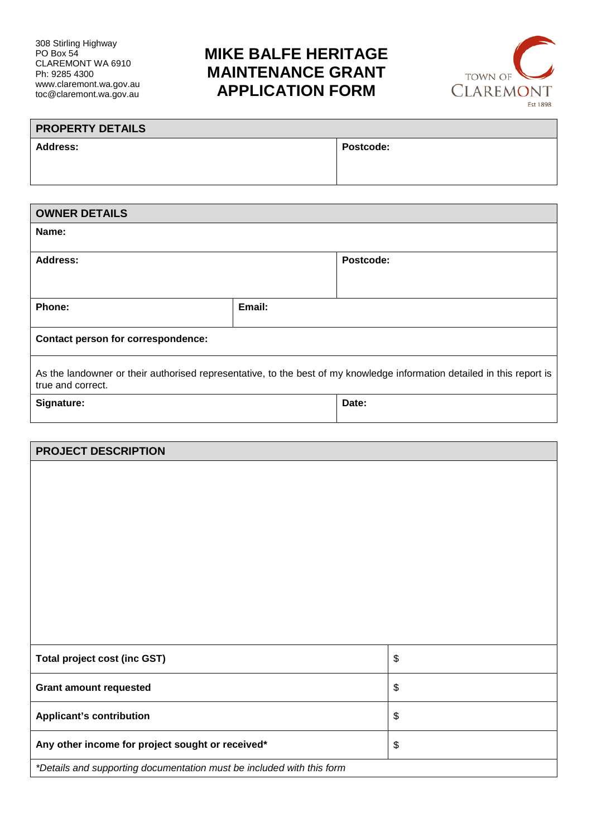## **MIKE BALFE HERITAGE MAINTENANCE GRANT APPLICATION FORM**



| <b>PROPERTY DETAILS</b> |                  |
|-------------------------|------------------|
| <b>Address:</b>         | <b>Postcode:</b> |
|                         |                  |

| <b>OWNER DETAILS</b>                                                                                                                         |        |           |  |  |
|----------------------------------------------------------------------------------------------------------------------------------------------|--------|-----------|--|--|
| Name:                                                                                                                                        |        |           |  |  |
| <b>Address:</b>                                                                                                                              |        | Postcode: |  |  |
| Phone:                                                                                                                                       | Email: |           |  |  |
| Contact person for correspondence:                                                                                                           |        |           |  |  |
| As the landowner or their authorised representative, to the best of my knowledge information detailed in this report is<br>true and correct. |        |           |  |  |
| Signature:                                                                                                                                   |        | Date:     |  |  |

| <b>PROJECT DESCRIPTION</b>                                            |                           |  |
|-----------------------------------------------------------------------|---------------------------|--|
|                                                                       |                           |  |
|                                                                       |                           |  |
|                                                                       |                           |  |
|                                                                       |                           |  |
|                                                                       |                           |  |
|                                                                       |                           |  |
|                                                                       |                           |  |
| <b>Total project cost (inc GST)</b>                                   | $\boldsymbol{\$}$         |  |
| <b>Grant amount requested</b>                                         | $\boldsymbol{\mathsf{S}}$ |  |
| <b>Applicant's contribution</b>                                       | \$                        |  |
| Any other income for project sought or received*                      | \$                        |  |
| *Details and supporting documentation must be included with this form |                           |  |